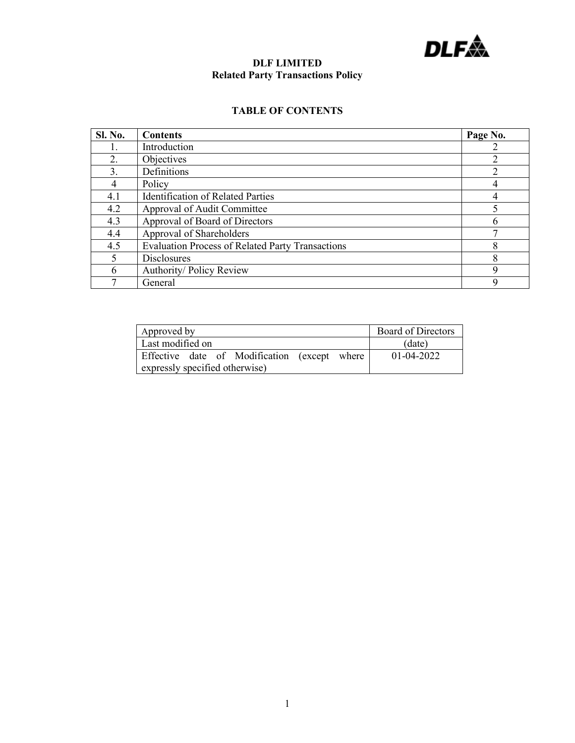

# **DLF LIMITED Related Party Transactions Policy**

# **TABLE OF CONTENTS**

| <b>Sl. No.</b> | <b>Contents</b>                                         | Page No. |
|----------------|---------------------------------------------------------|----------|
|                | Introduction                                            |          |
| 2.             | Objectives                                              |          |
| 3.             | Definitions                                             |          |
| 4              | Policy                                                  |          |
| 4.1            | <b>Identification of Related Parties</b>                |          |
| 4.2            | Approval of Audit Committee                             |          |
| 4.3            | Approval of Board of Directors                          |          |
| 4.4            | Approval of Shareholders                                |          |
| 4.5            | <b>Evaluation Process of Related Party Transactions</b> | 8        |
|                | <b>Disclosures</b>                                      | 8        |
| 6              | Authority/ Policy Review                                | 9        |
|                | General                                                 | q        |

| Approved by                                  | <b>Board of Directors</b> |
|----------------------------------------------|---------------------------|
| Last modified on                             | (date)                    |
| Effective date of Modification (except where | $01 - 04 - 2022$          |
| expressly specified otherwise)               |                           |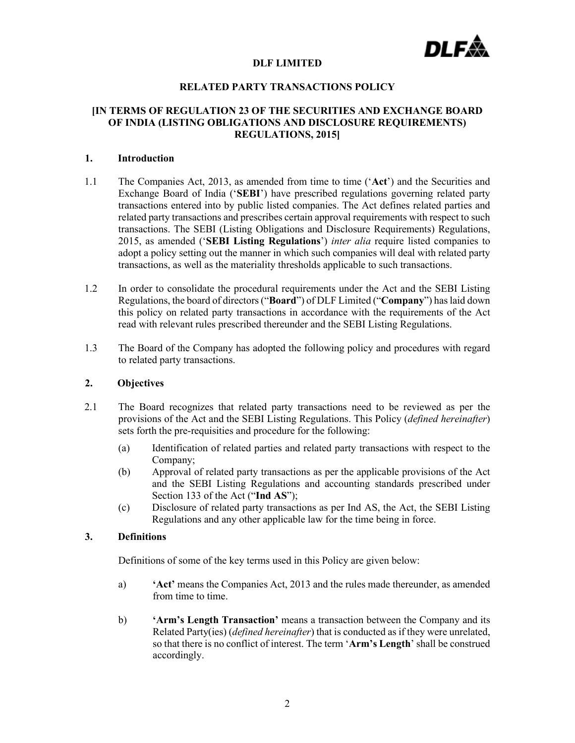

## **DLF LIMITED**

#### **RELATED PARTY TRANSACTIONS POLICY**

## **[IN TERMS OF REGULATION 23 OF THE SECURITIES AND EXCHANGE BOARD OF INDIA (LISTING OBLIGATIONS AND DISCLOSURE REQUIREMENTS) REGULATIONS, 2015]**

#### **1. Introduction**

- 1.1 The Companies Act, 2013, as amended from time to time ('**Act**') and the Securities and Exchange Board of India ('**SEBI**') have prescribed regulations governing related party transactions entered into by public listed companies. The Act defines related parties and related party transactions and prescribes certain approval requirements with respect to such transactions. The SEBI (Listing Obligations and Disclosure Requirements) Regulations, 2015, as amended ('**SEBI Listing Regulations**') *inter alia* require listed companies to adopt a policy setting out the manner in which such companies will deal with related party transactions, as well as the materiality thresholds applicable to such transactions.
- 1.2 In order to consolidate the procedural requirements under the Act and the SEBI Listing Regulations, the board of directors ("**Board**") of DLF Limited ("**Company**") haslaid down this policy on related party transactions in accordance with the requirements of the Act read with relevant rules prescribed thereunder and the SEBI Listing Regulations.
- 1.3 The Board of the Company has adopted the following policy and procedures with regard to related party transactions.

# **2. Objectives**

- 2.1 The Board recognizes that related party transactions need to be reviewed as per the provisions of the Act and the SEBI Listing Regulations. This Policy (*defined hereinafter*) sets forth the pre-requisities and procedure for the following:
	- (a) Identification of related parties and related party transactions with respect to the Company;
	- (b) Approval of related party transactions as per the applicable provisions of the Act and the SEBI Listing Regulations and accounting standards prescribed under Section 133 of the Act ("**Ind AS**");
	- (c) Disclosure of related party transactions as per Ind AS, the Act, the SEBI Listing Regulations and any other applicable law for the time being in force.

# **3. Definitions**

Definitions of some of the key terms used in this Policy are given below:

- a) **'Act'** means the Companies Act, 2013 and the rules made thereunder, as amended from time to time.
- b) **'Arm's Length Transaction'** means a transaction between the Company and its Related Party(ies) (*defined hereinafter*) that is conducted as if they were unrelated, so that there is no conflict of interest. The term '**Arm's Length**' shall be construed accordingly.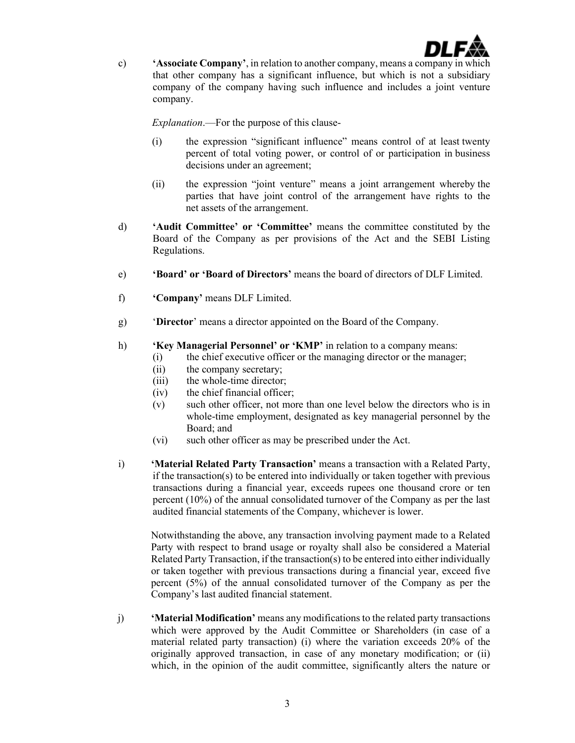

c) **'Associate Company'**, in relation to another company, means a company in which that other company has a significant influence, but which is not a subsidiary company of the company having such influence and includes a joint venture company.

*Explanation*.—For the purpose of this clause-

- (i) the expression "significant influence" means control of at least twenty percent of total voting power, or control of or participation in business decisions under an agreement;
- (ii) the expression "joint venture" means a joint arrangement whereby the parties that have joint control of the arrangement have rights to the net assets of the arrangement.
- d) **'Audit Committee' or 'Committee'** means the committee constituted by the Board of the Company as per provisions of the Act and the SEBI Listing Regulations.
- e) **'Board' or 'Board of Directors'** means the board of directors of DLF Limited.
- f) **'Company'** means DLF Limited.
- g) '**Director**' means a director appointed on the Board of the Company.
- h) **'Key Managerial Personnel' or 'KMP'** in relation to a company means:
	- (i) the chief executive officer or the managing director or the manager;
	- (ii) the company secretary;
	- (iii) the whole-time director;
	- (iv) the chief financial officer;
	- (v) such other officer, not more than one level below the directors who is in whole-time employment, designated as key managerial personnel by the Board; and
	- (vi) such other officer as may be prescribed under the Act.
- i) **'Material Related Party Transaction'** means a transaction with a Related Party, if the transaction(s) to be entered into individually or taken together with previous transactions during a financial year, exceeds rupees one thousand crore or ten percent (10%) of the annual consolidated turnover of the Company as per the last audited financial statements of the Company, whichever is lower.

Notwithstanding the above, any transaction involving payment made to a Related Party with respect to brand usage or royalty shall also be considered a Material Related Party Transaction, if the transaction(s) to be entered into either individually or taken together with previous transactions during a financial year, exceed five percent (5%) of the annual consolidated turnover of the Company as per the Company's last audited financial statement.

j) **'Material Modification'** means any modifications to the related party transactions which were approved by the Audit Committee or Shareholders (in case of a material related party transaction) (i) where the variation exceeds 20% of the originally approved transaction, in case of any monetary modification; or (ii) which, in the opinion of the audit committee, significantly alters the nature or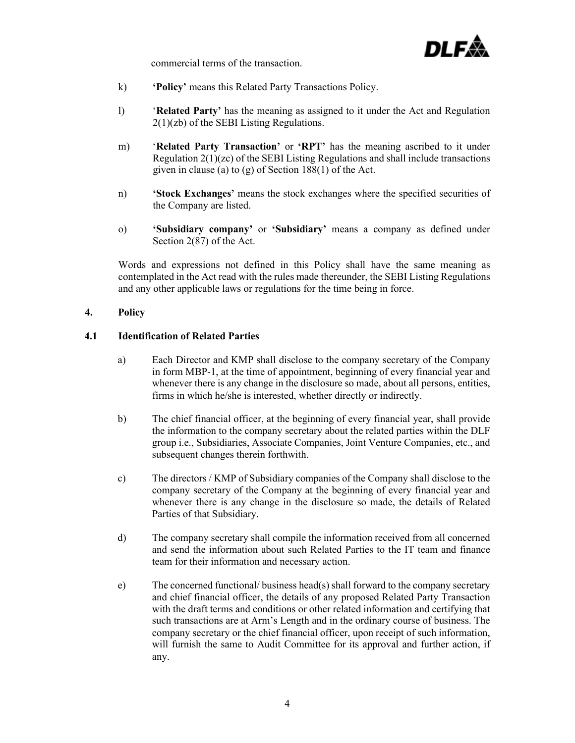

commercial terms of the transaction.

- k) **'Policy'** means this Related Party Transactions Policy.
- l) '**Related Party'** has the meaning as assigned to it under the Act and Regulation 2(1)(zb) of the SEBI Listing Regulations.
- m) '**Related Party Transaction'** or **'RPT'** has the meaning ascribed to it under Regulation 2(1)(zc) of the SEBI Listing Regulations and shall include transactions given in clause (a) to  $(g)$  of Section 188(1) of the Act.
- n) **'Stock Exchanges'** means the stock exchanges where the specified securities of the Company are listed.
- o) **'Subsidiary company'** or **'Subsidiary'** means a company as defined under Section 2(87) of the Act.

Words and expressions not defined in this Policy shall have the same meaning as contemplated in the Act read with the rules made thereunder, the SEBI Listing Regulations and any other applicable laws or regulations for the time being in force.

## **4. Policy**

# **4.1 Identification of Related Parties**

- a) Each Director and KMP shall disclose to the company secretary of the Company in form MBP-1, at the time of appointment, beginning of every financial year and whenever there is any change in the disclosure so made, about all persons, entities, firms in which he/she is interested, whether directly or indirectly.
- b) The chief financial officer, at the beginning of every financial year, shall provide the information to the company secretary about the related parties within the DLF group i.e., Subsidiaries, Associate Companies, Joint Venture Companies, etc., and subsequent changes therein forthwith.
- c) The directors / KMP of Subsidiary companies of the Company shall disclose to the company secretary of the Company at the beginning of every financial year and whenever there is any change in the disclosure so made, the details of Related Parties of that Subsidiary.
- d) The company secretary shall compile the information received from all concerned and send the information about such Related Parties to the IT team and finance team for their information and necessary action.
- e) The concerned functional/ business head(s) shall forward to the company secretary and chief financial officer, the details of any proposed Related Party Transaction with the draft terms and conditions or other related information and certifying that such transactions are at Arm's Length and in the ordinary course of business. The company secretary or the chief financial officer, upon receipt of such information, will furnish the same to Audit Committee for its approval and further action, if any.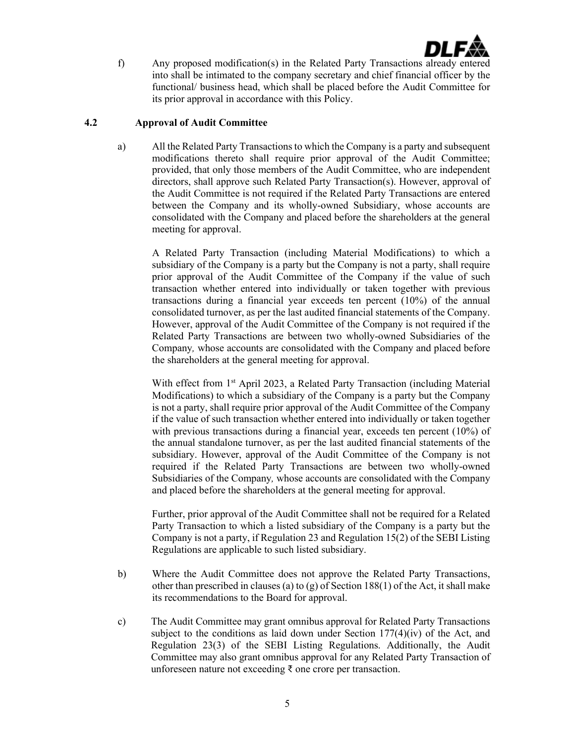

f) Any proposed modification(s) in the Related Party Transactions already entered into shall be intimated to the company secretary and chief financial officer by the functional/ business head, which shall be placed before the Audit Committee for its prior approval in accordance with this Policy.

# **4.2 Approval of Audit Committee**

a) All the Related Party Transactionsto which the Company is a party and subsequent modifications thereto shall require prior approval of the Audit Committee; provided, that only those members of the Audit Committee, who are independent directors, shall approve such Related Party Transaction(s). However, approval of the Audit Committee is not required if the Related Party Transactions are entered between the Company and its wholly-owned Subsidiary, whose accounts are consolidated with the Company and placed before the shareholders at the general meeting for approval.

A Related Party Transaction (including Material Modifications) to which a subsidiary of the Company is a party but the Company is not a party, shall require prior approval of the Audit Committee of the Company if the value of such transaction whether entered into individually or taken together with previous transactions during a financial year exceeds ten percent (10%) of the annual consolidated turnover, as per the last audited financial statements of the Company. However, approval of the Audit Committee of the Company is not required if the Related Party Transactions are between two wholly-owned Subsidiaries of the Company*,* whose accounts are consolidated with the Company and placed before the shareholders at the general meeting for approval.

With effect from 1<sup>st</sup> April 2023, a Related Party Transaction (including Material Modifications) to which a subsidiary of the Company is a party but the Company is not a party, shall require prior approval of the Audit Committee of the Company if the value of such transaction whether entered into individually or taken together with previous transactions during a financial year, exceeds ten percent (10%) of the annual standalone turnover, as per the last audited financial statements of the subsidiary. However, approval of the Audit Committee of the Company is not required if the Related Party Transactions are between two wholly-owned Subsidiaries of the Company*,* whose accounts are consolidated with the Company and placed before the shareholders at the general meeting for approval.

Further, prior approval of the Audit Committee shall not be required for a Related Party Transaction to which a listed subsidiary of the Company is a party but the Company is not a party, if Regulation 23 and Regulation 15(2) of the SEBI Listing Regulations are applicable to such listed subsidiary.

- b) Where the Audit Committee does not approve the Related Party Transactions, other than prescribed in clauses (a) to (g) of Section 188(1) of the Act, it shall make its recommendations to the Board for approval.
- c) The Audit Committee may grant omnibus approval for Related Party Transactions subject to the conditions as laid down under Section  $177(4)(iv)$  of the Act, and Regulation 23(3) of the SEBI Listing Regulations. Additionally, the Audit Committee may also grant omnibus approval for any Related Party Transaction of unforeseen nature not exceeding ₹ one crore per transaction.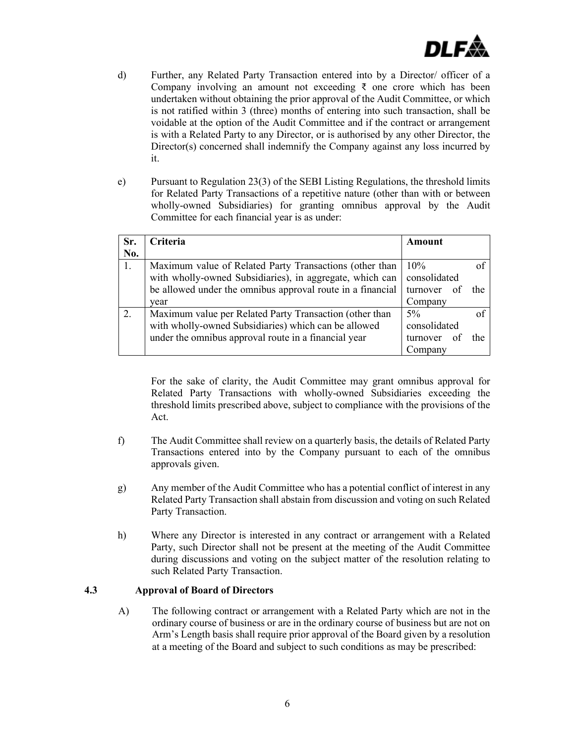

- d) Further, any Related Party Transaction entered into by a Director/ officer of a Company involving an amount not exceeding  $\bar{\tau}$  one crore which has been undertaken without obtaining the prior approval of the Audit Committee, or which is not ratified within 3 (three) months of entering into such transaction, shall be voidable at the option of the Audit Committee and if the contract or arrangement is with a Related Party to any Director, or is authorised by any other Director, the Director(s) concerned shall indemnify the Company against any loss incurred by it.
- e) Pursuant to Regulation 23(3) of the SEBI Listing Regulations, the threshold limits for Related Party Transactions of a repetitive nature (other than with or between wholly-owned Subsidiaries) for granting omnibus approval by the Audit Committee for each financial year is as under:

| Sr.<br>No. | Criteria                                                   | Amount       |      |
|------------|------------------------------------------------------------|--------------|------|
| 1.         | Maximum value of Related Party Transactions (other than    | 10%          |      |
|            | with wholly-owned Subsidiaries), in aggregate, which can   | consolidated |      |
|            | be allowed under the omnibus approval route in a financial | turnover of  | the  |
|            | vear                                                       | Company      |      |
| 2.         | Maximum value per Related Party Transaction (other than    | $5\%$        |      |
|            | with wholly-owned Subsidiaries) which can be allowed       | consolidated |      |
|            | under the omnibus approval route in a financial year       | turnover of  | the. |
|            |                                                            | Company      |      |

For the sake of clarity, the Audit Committee may grant omnibus approval for Related Party Transactions with wholly-owned Subsidiaries exceeding the threshold limits prescribed above, subject to compliance with the provisions of the Act.

- f) The Audit Committee shall review on a quarterly basis, the details of Related Party Transactions entered into by the Company pursuant to each of the omnibus approvals given.
- g) Any member of the Audit Committee who has a potential conflict of interest in any Related Party Transaction shall abstain from discussion and voting on such Related Party Transaction.
- h) Where any Director is interested in any contract or arrangement with a Related Party, such Director shall not be present at the meeting of the Audit Committee during discussions and voting on the subject matter of the resolution relating to such Related Party Transaction.

#### **4.3 Approval of Board of Directors**

A) The following contract or arrangement with a Related Party which are not in the ordinary course of business or are in the ordinary course of business but are not on Arm's Length basis shall require prior approval of the Board given by a resolution at a meeting of the Board and subject to such conditions as may be prescribed: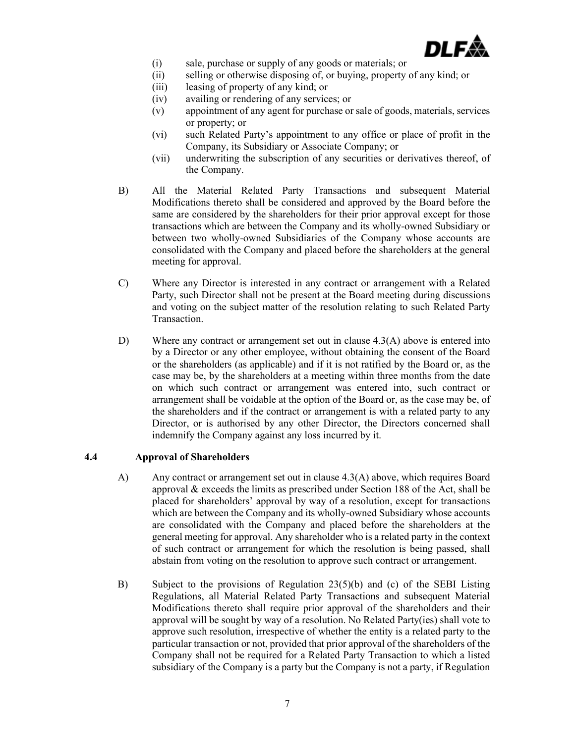

- (i) sale, purchase or supply of any goods or materials; or
- (ii) selling or otherwise disposing of, or buying, property of any kind; or
- (iii) leasing of property of any kind; or
- (iv) availing or rendering of any services; or
- (v) appointment of any agent for purchase or sale of goods, materials, services or property; or
- (vi) such Related Party's appointment to any office or place of profit in the Company, its Subsidiary or Associate Company; or
- (vii) underwriting the subscription of any securities or derivatives thereof, of the Company.
- B) All the Material Related Party Transactions and subsequent Material Modifications thereto shall be considered and approved by the Board before the same are considered by the shareholders for their prior approval except for those transactions which are between the Company and its wholly-owned Subsidiary or between two wholly-owned Subsidiaries of the Company whose accounts are consolidated with the Company and placed before the shareholders at the general meeting for approval.
- C) Where any Director is interested in any contract or arrangement with a Related Party, such Director shall not be present at the Board meeting during discussions and voting on the subject matter of the resolution relating to such Related Party Transaction.
- D) Where any contract or arrangement set out in clause 4.3(A) above is entered into by a Director or any other employee, without obtaining the consent of the Board or the shareholders (as applicable) and if it is not ratified by the Board or, as the case may be, by the shareholders at a meeting within three months from the date on which such contract or arrangement was entered into, such contract or arrangement shall be voidable at the option of the Board or, as the case may be, of the shareholders and if the contract or arrangement is with a related party to any Director, or is authorised by any other Director, the Directors concerned shall indemnify the Company against any loss incurred by it.

## **4.4 Approval of Shareholders**

- A) Any contract or arrangement set out in clause 4.3(A) above, which requires Board approval & exceeds the limits as prescribed under Section 188 of the Act, shall be placed for shareholders' approval by way of a resolution, except for transactions which are between the Company and its wholly-owned Subsidiary whose accounts are consolidated with the Company and placed before the shareholders at the general meeting for approval. Any shareholder who is a related party in the context of such contract or arrangement for which the resolution is being passed, shall abstain from voting on the resolution to approve such contract or arrangement.
- B) Subject to the provisions of Regulation 23(5)(b) and (c) of the SEBI Listing Regulations, all Material Related Party Transactions and subsequent Material Modifications thereto shall require prior approval of the shareholders and their approval will be sought by way of a resolution. No Related Party(ies) shall vote to approve such resolution, irrespective of whether the entity is a related party to the particular transaction or not, provided that prior approval of the shareholders of the Company shall not be required for a Related Party Transaction to which a listed subsidiary of the Company is a party but the Company is not a party, if Regulation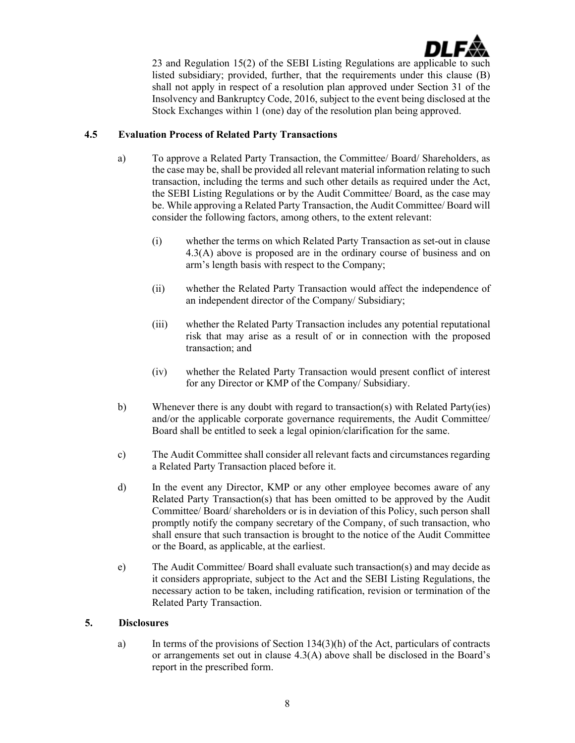

23 and Regulation 15(2) of the SEBI Listing Regulations are applicable to such listed subsidiary; provided, further, that the requirements under this clause (B) shall not apply in respect of a resolution plan approved under Section 31 of the Insolvency and Bankruptcy Code, 2016, subject to the event being disclosed at the Stock Exchanges within 1 (one) day of the resolution plan being approved.

# **4.5 Evaluation Process of Related Party Transactions**

- a) To approve a Related Party Transaction, the Committee/ Board/ Shareholders, as the case may be, shall be provided all relevant material information relating to such transaction, including the terms and such other details as required under the Act, the SEBI Listing Regulations or by the Audit Committee/ Board, as the case may be. While approving a Related Party Transaction, the Audit Committee/ Board will consider the following factors, among others, to the extent relevant:
	- (i) whether the terms on which Related Party Transaction as set-out in clause 4.3(A) above is proposed are in the ordinary course of business and on arm's length basis with respect to the Company;
	- (ii) whether the Related Party Transaction would affect the independence of an independent director of the Company/ Subsidiary;
	- (iii) whether the Related Party Transaction includes any potential reputational risk that may arise as a result of or in connection with the proposed transaction; and
	- (iv) whether the Related Party Transaction would present conflict of interest for any Director or KMP of the Company/ Subsidiary.
- b) Whenever there is any doubt with regard to transaction(s) with Related Party(ies) and/or the applicable corporate governance requirements, the Audit Committee/ Board shall be entitled to seek a legal opinion/clarification for the same.
- c) The Audit Committee shall consider all relevant facts and circumstances regarding a Related Party Transaction placed before it.
- d) In the event any Director, KMP or any other employee becomes aware of any Related Party Transaction(s) that has been omitted to be approved by the Audit Committee/ Board/ shareholders or is in deviation of this Policy, such person shall promptly notify the company secretary of the Company, of such transaction, who shall ensure that such transaction is brought to the notice of the Audit Committee or the Board, as applicable, at the earliest.
- e) The Audit Committee/ Board shall evaluate such transaction(s) and may decide as it considers appropriate, subject to the Act and the SEBI Listing Regulations, the necessary action to be taken, including ratification, revision or termination of the Related Party Transaction.

#### **5. Disclosures**

a) In terms of the provisions of Section 134(3)(h) of the Act, particulars of contracts or arrangements set out in clause 4.3(A) above shall be disclosed in the Board's report in the prescribed form.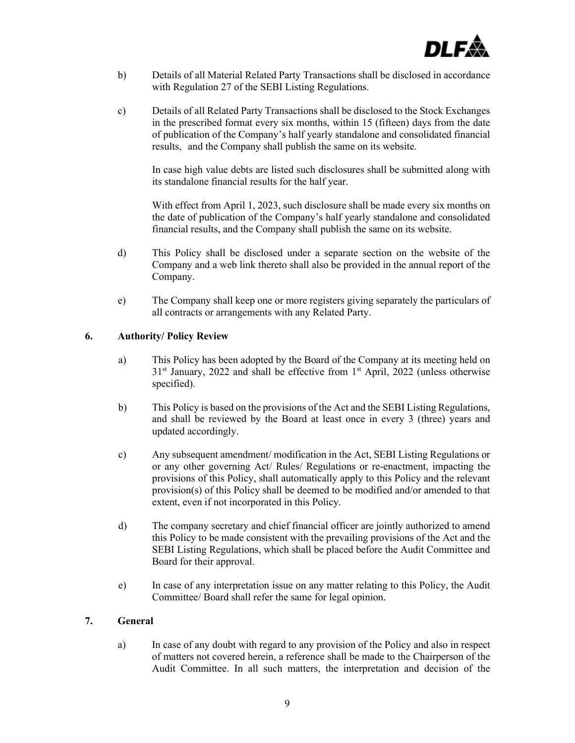

- b) Details of all Material Related Party Transactions shall be disclosed in accordance with Regulation 27 of the SEBI Listing Regulations.
- c) Details of all Related Party Transactions shall be disclosed to the Stock Exchanges in the prescribed format every six months, within 15 (fifteen) days from the date of publication of the Company's half yearly standalone and consolidated financial results, and the Company shall publish the same on its website.

In case high value debts are listed such disclosures shall be submitted along with its standalone financial results for the half year.

With effect from April 1, 2023, such disclosure shall be made every six months on the date of publication of the Company's half yearly standalone and consolidated financial results, and the Company shall publish the same on its website.

- d) This Policy shall be disclosed under a separate section on the website of the Company and a web link thereto shall also be provided in the annual report of the Company.
- e) The Company shall keep one or more registers giving separately the particulars of all contracts or arrangements with any Related Party.

## **6. Authority/ Policy Review**

- a) This Policy has been adopted by the Board of the Company at its meeting held on  $31<sup>st</sup>$  January, 2022 and shall be effective from  $1<sup>st</sup>$  April, 2022 (unless otherwise specified).
- b) This Policy is based on the provisions of the Act and the SEBI Listing Regulations, and shall be reviewed by the Board at least once in every 3 (three) years and updated accordingly.
- c) Any subsequent amendment/ modification in the Act, SEBI Listing Regulations or or any other governing Act/ Rules/ Regulations or re-enactment, impacting the provisions of this Policy, shall automatically apply to this Policy and the relevant provision(s) of this Policy shall be deemed to be modified and/or amended to that extent, even if not incorporated in this Policy.
- d) The company secretary and chief financial officer are jointly authorized to amend this Policy to be made consistent with the prevailing provisions of the Act and the SEBI Listing Regulations, which shall be placed before the Audit Committee and Board for their approval.
- e) In case of any interpretation issue on any matter relating to this Policy, the Audit Committee/ Board shall refer the same for legal opinion.

#### **7. General**

a) In case of any doubt with regard to any provision of the Policy and also in respect of matters not covered herein, a reference shall be made to the Chairperson of the Audit Committee. In all such matters, the interpretation and decision of the